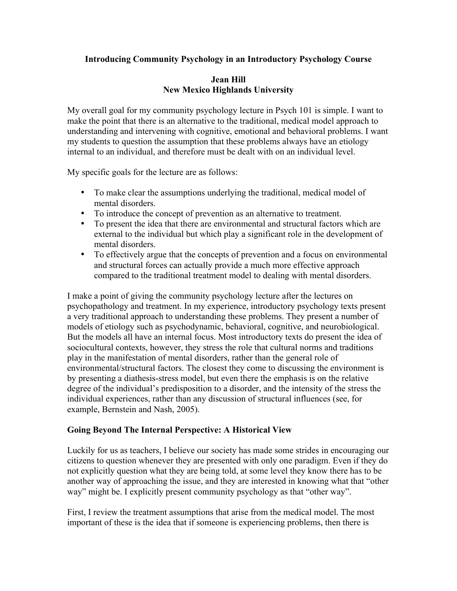# **Introducing Community Psychology in an Introductory Psychology Course**

### **Jean Hill New Mexico Highlands University**

My overall goal for my community psychology lecture in Psych 101 is simple. I want to make the point that there is an alternative to the traditional, medical model approach to understanding and intervening with cognitive, emotional and behavioral problems. I want my students to question the assumption that these problems always have an etiology internal to an individual, and therefore must be dealt with on an individual level.

My specific goals for the lecture are as follows:

- To make clear the assumptions underlying the traditional, medical model of mental disorders.
- To introduce the concept of prevention as an alternative to treatment.
- To present the idea that there are environmental and structural factors which are external to the individual but which play a significant role in the development of mental disorders.
- To effectively argue that the concepts of prevention and a focus on environmental and structural forces can actually provide a much more effective approach compared to the traditional treatment model to dealing with mental disorders.

I make a point of giving the community psychology lecture after the lectures on psychopathology and treatment. In my experience, introductory psychology texts present a very traditional approach to understanding these problems. They present a number of models of etiology such as psychodynamic, behavioral, cognitive, and neurobiological. But the models all have an internal focus. Most introductory texts do present the idea of sociocultural contexts, however, they stress the role that cultural norms and traditions play in the manifestation of mental disorders, rather than the general role of environmental/structural factors. The closest they come to discussing the environment is by presenting a diathesis-stress model, but even there the emphasis is on the relative degree of the individual's predisposition to a disorder, and the intensity of the stress the individual experiences, rather than any discussion of structural influences (see, for example, Bernstein and Nash, 2005).

# **Going Beyond The Internal Perspective: A Historical View**

Luckily for us as teachers, I believe our society has made some strides in encouraging our citizens to question whenever they are presented with only one paradigm. Even if they do not explicitly question what they are being told, at some level they know there has to be another way of approaching the issue, and they are interested in knowing what that "other way" might be. I explicitly present community psychology as that "other way".

First, I review the treatment assumptions that arise from the medical model. The most important of these is the idea that if someone is experiencing problems, then there is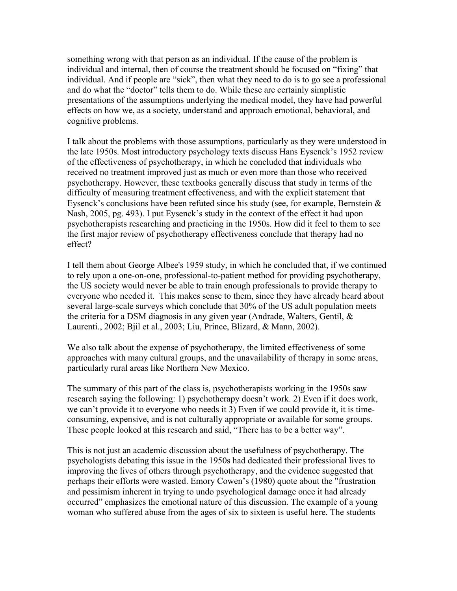something wrong with that person as an individual. If the cause of the problem is individual and internal, then of course the treatment should be focused on "fixing" that individual. And if people are "sick", then what they need to do is to go see a professional and do what the "doctor" tells them to do. While these are certainly simplistic presentations of the assumptions underlying the medical model, they have had powerful effects on how we, as a society, understand and approach emotional, behavioral, and cognitive problems.

I talk about the problems with those assumptions, particularly as they were understood in the late 1950s. Most introductory psychology texts discuss Hans Eysenck's 1952 review of the effectiveness of psychotherapy, in which he concluded that individuals who received no treatment improved just as much or even more than those who received psychotherapy. However, these textbooks generally discuss that study in terms of the difficulty of measuring treatment effectiveness, and with the explicit statement that Eysenck's conclusions have been refuted since his study (see, for example, Bernstein  $\&$ Nash, 2005, pg. 493). I put Eysenck's study in the context of the effect it had upon psychotherapists researching and practicing in the 1950s. How did it feel to them to see the first major review of psychotherapy effectiveness conclude that therapy had no effect?

I tell them about George Albee's 1959 study, in which he concluded that, if we continued to rely upon a one-on-one, professional-to-patient method for providing psychotherapy, the US society would never be able to train enough professionals to provide therapy to everyone who needed it. This makes sense to them, since they have already heard about several large-scale surveys which conclude that 30% of the US adult population meets the criteria for a DSM diagnosis in any given year (Andrade, Walters, Gentil, & Laurenti., 2002; Bjil et al., 2003; Liu, Prince, Blizard, & Mann, 2002).

We also talk about the expense of psychotherapy, the limited effectiveness of some approaches with many cultural groups, and the unavailability of therapy in some areas, particularly rural areas like Northern New Mexico.

The summary of this part of the class is, psychotherapists working in the 1950s saw research saying the following: 1) psychotherapy doesn't work. 2) Even if it does work, we can't provide it to everyone who needs it 3) Even if we could provide it, it is timeconsuming, expensive, and is not culturally appropriate or available for some groups. These people looked at this research and said, "There has to be a better way".

This is not just an academic discussion about the usefulness of psychotherapy. The psychologists debating this issue in the 1950s had dedicated their professional lives to improving the lives of others through psychotherapy, and the evidence suggested that perhaps their efforts were wasted. Emory Cowen's (1980) quote about the "frustration and pessimism inherent in trying to undo psychological damage once it had already occurred" emphasizes the emotional nature of this discussion. The example of a young woman who suffered abuse from the ages of six to sixteen is useful here. The students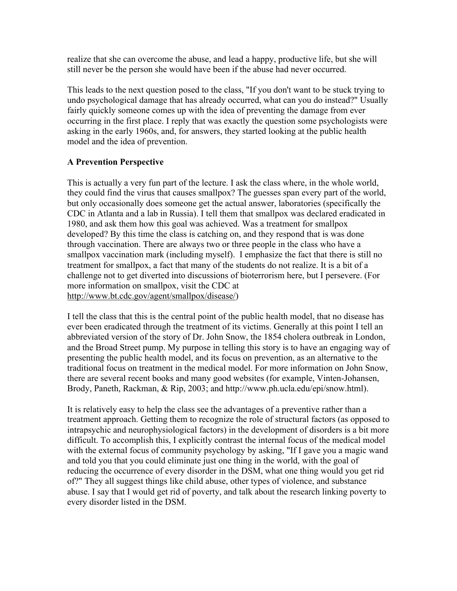realize that she can overcome the abuse, and lead a happy, productive life, but she will still never be the person she would have been if the abuse had never occurred.

This leads to the next question posed to the class, "If you don't want to be stuck trying to undo psychological damage that has already occurred, what can you do instead?" Usually fairly quickly someone comes up with the idea of preventing the damage from ever occurring in the first place. I reply that was exactly the question some psychologists were asking in the early 1960s, and, for answers, they started looking at the public health model and the idea of prevention.

# **A Prevention Perspective**

This is actually a very fun part of the lecture. I ask the class where, in the whole world, they could find the virus that causes smallpox? The guesses span every part of the world, but only occasionally does someone get the actual answer, laboratories (specifically the CDC in Atlanta and a lab in Russia). I tell them that smallpox was declared eradicated in 1980, and ask them how this goal was achieved. Was a treatment for smallpox developed? By this time the class is catching on, and they respond that is was done through vaccination. There are always two or three people in the class who have a smallpox vaccination mark (including myself). I emphasize the fact that there is still no treatment for smallpox, a fact that many of the students do not realize. It is a bit of a challenge not to get diverted into discussions of bioterrorism here, but I persevere. (For more information on smallpox, visit the CDC at http://www.bt.cdc.gov/agent/smallpox/disease/)

I tell the class that this is the central point of the public health model, that no disease has ever been eradicated through the treatment of its victims. Generally at this point I tell an abbreviated version of the story of Dr. John Snow, the 1854 cholera outbreak in London, and the Broad Street pump. My purpose in telling this story is to have an engaging way of presenting the public health model, and its focus on prevention, as an alternative to the traditional focus on treatment in the medical model. For more information on John Snow, there are several recent books and many good websites (for example, Vinten-Johansen, Brody, Paneth, Rackman, & Rip, 2003; and http://www.ph.ucla.edu/epi/snow.html).

It is relatively easy to help the class see the advantages of a preventive rather than a treatment approach. Getting them to recognize the role of structural factors (as opposed to intrapsychic and neurophysiological factors) in the development of disorders is a bit more difficult. To accomplish this, I explicitly contrast the internal focus of the medical model with the external focus of community psychology by asking, "If I gave you a magic wand and told you that you could eliminate just one thing in the world, with the goal of reducing the occurrence of every disorder in the DSM, what one thing would you get rid of?" They all suggest things like child abuse, other types of violence, and substance abuse. I say that I would get rid of poverty, and talk about the research linking poverty to every disorder listed in the DSM.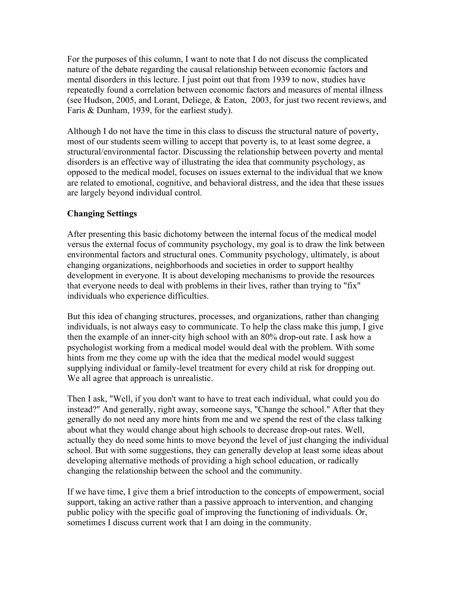For the purposes of this column, I want to note that I do not discuss the complicated nature of the debate regarding the causal relationship between economic factors and mental disorders in this lecture. I just point out that from 1939 to now, studies have repeatedly found a correlation between economic factors and measures of mental illness (see Hudson, 2005, and Lorant, Deliege, & Eaton, 2003, for just two recent reviews, and Faris & Dunham, 1939, for the earliest study).

Although I do not have the time in this class to discuss the structural nature of poverty, most of our students seem willing to accept that poverty is, to at least some degree, a structural/environmental factor. Discussing the relationship between poverty and mental disorders is an effective way of illustrating the idea that community psychology, as opposed to the medical model, focuses on issues external to the individual that we know are related to emotional, cognitive, and behavioral distress, and the idea that these issues are largely beyond individual control.

# **Changing Settings**

After presenting this basic dichotomy between the internal focus of the medical model versus the external focus of community psychology, my goal is to draw the link between environmental factors and structural ones. Community psychology, ultimately, is about changing organizations, neighborhoods and societies in order to support healthy development in everyone. It is about developing mechanisms to provide the resources that everyone needs to deal with problems in their lives, rather than trying to "fix" individuals who experience difficulties.

But this idea of changing structures, processes, and organizations, rather than changing individuals, is not always easy to communicate. To help the class make this jump, I give then the example of an inner-city high school with an 80% drop-out rate. I ask how a psychologist working from a medical model would deal with the problem. With some hints from me they come up with the idea that the medical model would suggest supplying individual or family-level treatment for every child at risk for dropping out. We all agree that approach is unrealistic.

Then I ask, "Well, if you don't want to have to treat each individual, what could you do instead?" And generally, right away, someone says, "Change the school." After that they generally do not need any more hints from me and we spend the rest of the class talking about what they would change about high schools to decrease drop-out rates. Well, actually they do need some hints to move beyond the level of just changing the individual school. But with some suggestions, they can generally develop at least some ideas about developing alternative methods of providing a high school education, or radically changing the relationship between the school and the community.

If we have time, I give them a brief introduction to the concepts of empowerment, social support, taking an active rather than a passive approach to intervention, and changing public policy with the specific goal of improving the functioning of individuals. Or, sometimes I discuss current work that I am doing in the community.